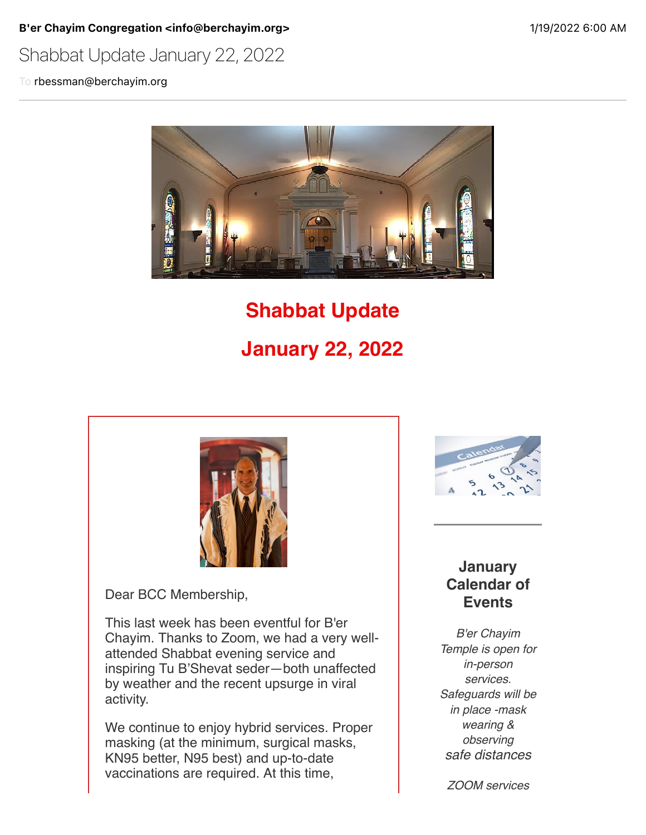B'er Chayim Congregation <info@berchayim.org>
199/2022 6:00 AM

## Shabbat Update January 22, 2022

To rbessman@berchayim.org



# **Shabbat Update January 22, 2022**



Dear BCC Membership,

This last week has been eventful for B'er Chayim. Thanks to Zoom, we had a very wellattended Shabbat evening service and inspiring Tu B'Shevat seder—both unaffected by weather and the recent upsurge in viral activity.

We continue to enjoy hybrid services. Proper masking (at the minimum, surgical masks, KN95 better, N95 best) and up-to-date vaccinations are required. At this time,



#### **January Calendar of Events**

*B'er Chayim Temple is open for in-person services. Safeguards will be in place -mask wearing & observing safe distances*

*ZOOM services*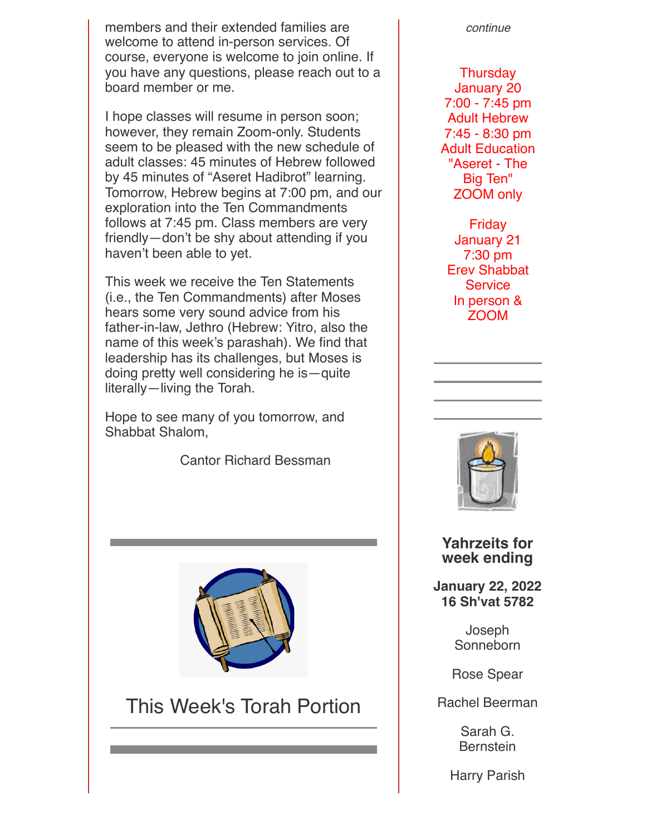members and their extended families are welcome to attend in-person services. Of course, everyone is welcome to join online. If you have any questions, please reach out to a board member or me.

I hope classes will resume in person soon; however, they remain Zoom-only. Students seem to be pleased with the new schedule of adult classes: 45 minutes of Hebrew followed by 45 minutes of "Aseret Hadibrot" learning. Tomorrow, Hebrew begins at 7:00 pm, and our exploration into the Ten Commandments follows at 7:45 pm. Class members are very friendly—don't be shy about attending if you haven't been able to yet.

This week we receive the Ten Statements (i.e., the Ten Commandments) after Moses hears some very sound advice from his father-in-law, Jethro (Hebrew: Yitro, also the name of this week's parashah). We find that leadership has its challenges, but Moses is doing pretty well considering he is—quite literally—living the Torah.

Hope to see many of you tomorrow, and Shabbat Shalom,

Cantor Richard Bessman



# This Week's Torah Portion

*continue*

**Thursday** January 20 7:00 - 7:45 pm Adult Hebrew 7:45 - 8:30 pm Adult Education "Aseret - The Big Ten" ZOOM only

Friday January 21 7:30 pm Erev Shabbat **Service** In person & ZOOM



#### **Yahrzeits for week ending**

**January 22, 2022 16 Sh'vat 5782**

> Joseph **Sonneborn**

Rose Spear

Rachel Beerman

Sarah G. Bernstein

Harry Parish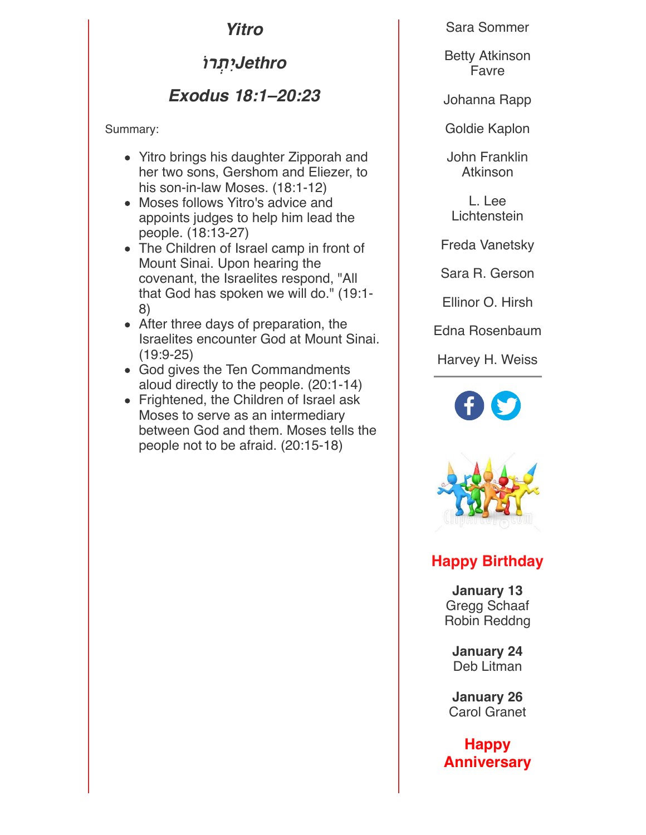*Yitro*

*Jethro***יִתְר!**

## *Exodus 18:1–20:23*

Summary:

- Yitro brings his daughter Zipporah and her two sons, Gershom and Eliezer, to his son-in-law Moses. (18:1-12)
- Moses follows Yitro's advice and appoints judges to help him lead the people. (18:13-27)
- The Children of Israel camp in front of Mount Sinai. Upon hearing the covenant, the Israelites respond, "All that God has spoken we will do." (19:1- 8)
- After three days of preparation, the Israelites encounter God at Mount Sinai. (19:9-25)
- God gives the Ten Commandments aloud directly to the people. (20:1-14)
- Frightened, the Children of Israel ask Moses to serve as an intermediary between God and them. Moses tells the people not to be afraid. (20:15-18)

Sara Sommer

Betty Atkinson Favre

Johanna Rapp

Goldie Kaplon

John Franklin Atkinson

L. Lee **Lichtenstein** 

Freda Vanetsky

Sara R. Gerson

Ellinor O. Hirsh

Edna Rosenbaum

Harvey H. Weiss





### **Happy Birthday**

**January 13** Gregg Schaaf Robin Reddng

**January 24** Deb Litman

**January 26** Carol Granet

**Happy Anniversary**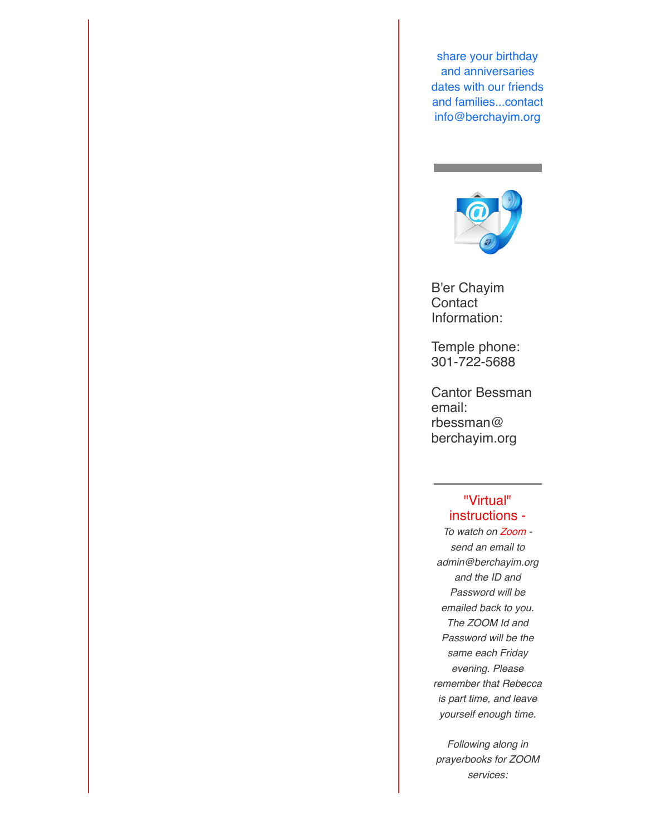share your birthday and anniversaries dates with our friends and families...contact info@berchayim.org



B'er Chayim **Contact** Information:

Temple phone: 301-722-5688

Cantor Bessman email: rbessman@ berchayim.org

#### "Virtual" instructions -

*To watch on Zoom send an email to admin@berchayim.org and the ID and Password will be emailed back to you. The ZOOM Id and Password will be the same each Friday evening. Please remember that Rebecca is part time, and leave yourself enough time.*

*Following along in prayerbooks for ZOOM services:*